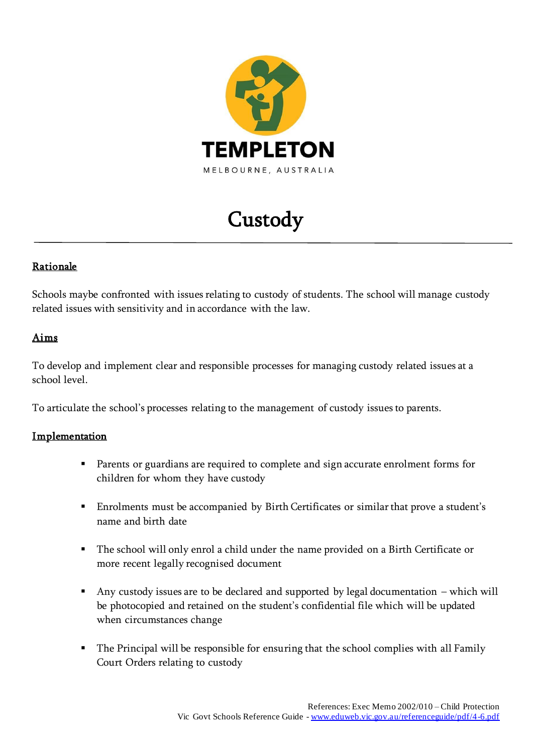

# Custody

## **Rationale**

Schools maybe confronted with issues relating to custody of students. The school will manage custody related issues with sensitivity and in accordance with the law.

### Aims

To develop and implement clear and responsible processes for managing custody related issues at a school level.

To articulate the school's processes relating to the management of custody issues to parents.

#### **Implementation**

- Parents or guardians are required to complete and sign accurate enrolment forms for children for whom they have custody
- Enrolments must be accompanied by Birth Certificates or similar that prove a student's name and birth date
- The school will only enrol a child under the name provided on a Birth Certificate or more recent legally recognised document
- Any custody issues are to be declared and supported by legal documentation which will be photocopied and retained on the student's confidential file which will be updated when circumstances change
- The Principal will be responsible for ensuring that the school complies with all Family Court Orders relating to custody